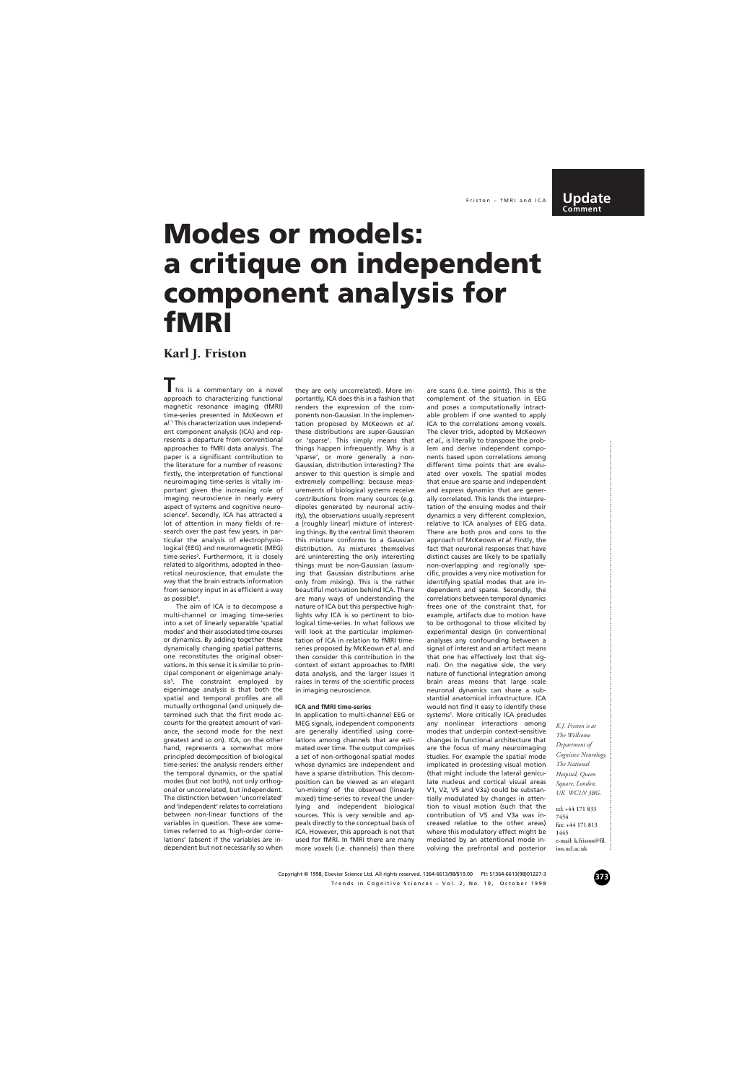## Friston – fMRI and ICA **Update Comment**

# **Modes or models: a critique on independent component analysis for fMRI**

# Karl J. Friston

This is a commentary on a novel approach to characterizing functional magnetic resonance imaging (fMRI) time-series presented in McKeown *et al.*<sup>1</sup> This characterization uses independent component analysis (ICA) and represents a departure from conventional approaches to fMRI data analysis. The paper is a significant contribution to the literature for a number of reasons: firstly, the interpretation of functional neuroimaging time-series is vitally important given the increasing role of imaging neuroscience in nearly every aspect of systems and cognitive neuroscience<sup>2</sup>. Secondly, ICA has attracted a lot of attention in many fields of research over the past few years, in particular the analysis of electrophysiological (EEG) and neuromagnetic (MEG) time-series<sup>3</sup>. Furthermore, it is closely related to algorithms, adopted in theoretical neuroscience, that emulate the way that the brain extracts information from sensory input in as efficient a way as possible4.

The aim of ICA is to decompose a multi-channel or imaging time-series into a set of linearly separable 'spatial modes' and their associated time courses or dynamics. By adding together these dynamically changing spatial patterns, one reconstitutes the original observations. In this sense it is similar to principal component or eigenimage analysis<sup>5</sup>. The constraint employed by eigenimage analysis is that both the spatial and temporal profiles are all mutually orthogonal (and uniquely determined such that the first mode accounts for the greatest amount of variance, the second mode for the next greatest and so on). ICA, on the other hand, represents a somewhat more principled decomposition of biological time-series: the analysis renders either the temporal dynamics, or the spatial modes (but not both), not only orthogonal or uncorrelated, but independent. The distinction between 'uncorrelated' and 'independent' relates to correlations between non-linear functions of the variables in question. These are sometimes referred to as 'high-order correlations' (absent if the variables are independent but not necessarily so when

they are only uncorrelated). More importantly, ICA does this in a fashion that renders the expression of the components non-Gaussian. In the implementation proposed by McKeown *et al.* these distributions are super-Gaussian or 'sparse'. This simply means that things happen infrequently. Why is a 'sparse', or more generally a non-Gaussian, distribution interesting? The answer to this question is simple and extremely compelling: because measurements of biological systems receive contributions from many sources (e.g. dipoles generated by neuronal activity), the observations usually represent a [roughly linear] mixture of interesting things. By the central limit theorem this mixture conforms to a Gaussian distribution. As mixtures themselves are uninteresting the only interesting things must be non-Gaussian (assuming that Gaussian distributions arise only from mixing). This is the rather beautiful motivation behind ICA. There are many ways of understanding the nature of ICA but this perspective highlights why ICA is so pertinent to biological time-series. In what follows we will look at the particular implementation of ICA in relation to fMRI timeseries proposed by McKeown *et al.* and then consider this contribution in the context of extant approaches to fMRI data analysis, and the larger issues it raises in terms of the scientific process in imaging neuroscience.

#### **ICA and fMRI time-series**

In application to multi-channel EEG or MEG signals, independent components are generally identified using correlations among channels that are estimated over time. The output comprises a set of non-orthogonal spatial modes whose dynamics are independent and have a sparse distribution. This decomposition can be viewed as an elegant 'un-mixing' of the observed (linearly mixed) time-series to reveal the underlying and independent biological sources. This is very sensible and appeals directly to the conceptual basis of ICA. However, this approach is not that used for fMRI. In fMRI there are many more voxels (i.e. channels) than there

are scans (i.e. time points). This is the complement of the situation in EEG and poses a computationally intractable problem if one wanted to apply ICA to the correlations among voxels. The clever trick, adopted by McKeown *et al.*, is literally to transpose the problem and derive independent components based upon correlations among different time points that are evaluated over voxels. The spatial modes that ensue are sparse and independent and express dynamics that are generally correlated. This lends the interpretation of the ensuing modes and their dynamics a very different complexion, relative to ICA analyses of EEG data. There are both pros and cons to the approach of McKeown *et al.* Firstly, the fact that neuronal responses that have distinct causes are likely to be spatially non-overlapping and regionally specific, provides a very nice motivation for identifying spatial modes that are independent and sparse. Secondly, the correlations between temporal dynamics frees one of the constraint that, for example, artifacts due to motion have to be orthogonal to those elicited by experimental design (in conventional analyses any confounding between a signal of interest and an artifact means that one has effectively lost that signal). On the negative side, the very nature of functional integration among brain areas means that large scale neuronal dynamics can share a substantial anatomical infrastructure. ICA would not find it easy to identify these systems<sup>1</sup>. More critically ICA precludes any nonlinear interactions among modes that underpin context-sensitive changes in functional architecture that are the focus of many neuroimaging studies. For example the spatial mode implicated in processing visual motion (that might include the lateral geniculate nucleus and cortical visual areas V1, V2, V5 and V3a) could be substantially modulated by changes in attention to visual motion (such that the contribution of V5 and V3a was increased relative to the other areas) where this modulatory effect might be mediated by an attentional mode involving the prefrontal and posterior

*K.J. Friston is at The Wellcome Department of Cognitive Neurology, The National Hospital, Queen Square, London, UK WC1N 3BG.*

**tel: +44 171 833 7454 fax: +44 171 813 1445 e-mail: k.friston@fil. ion.ucl.ac.uk**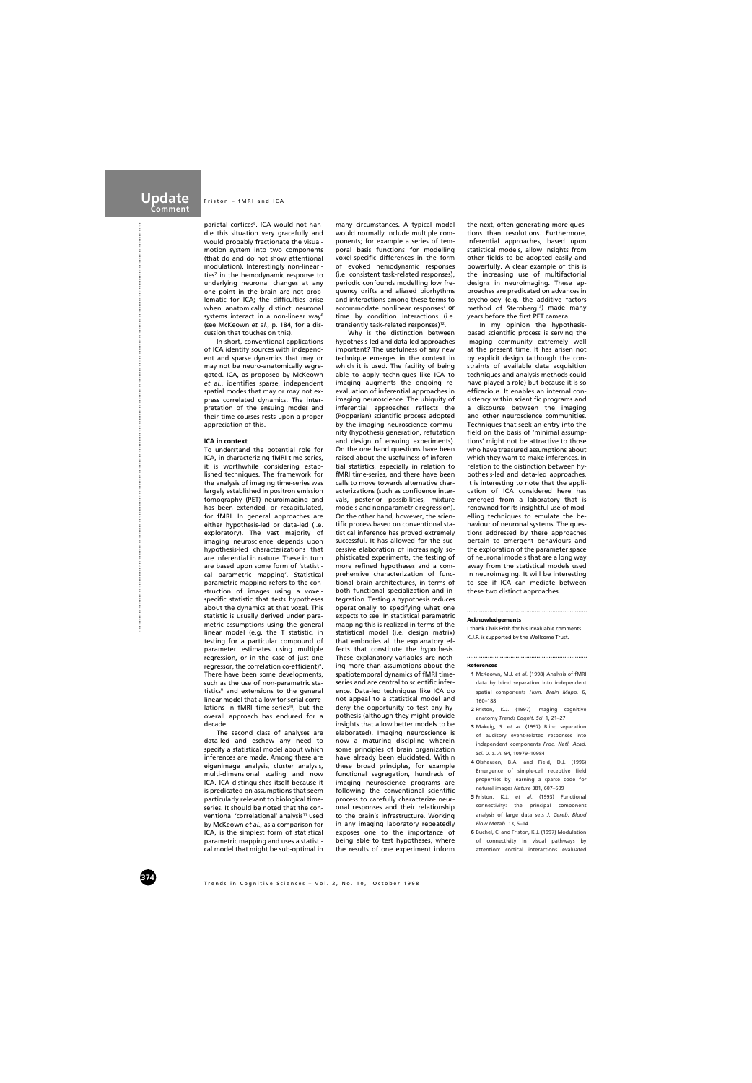parietal cortices<sup>6</sup>. ICA would not handle this situation very gracefully and would probably fractionate the visualmotion system into two components (that do and do not show attentional modulation). Interestingly non-linearities<sup>7</sup> in the hemodynamic response to underlying neuronal changes at any one point in the brain are not problematic for ICA; the difficulties arise when anatomically distinct neuronal systems interact in a non-linear way<sup>6</sup> (see McKeown *et al.*, p. 184, for a discussion that touches on this).

In short, conventional applications of ICA identify sources with independent and sparse dynamics that may or may not be neuro-anatomically segregated. ICA, as proposed by McKeown *et al.*, identifies sparse, independent spatial modes that may or may not express correlated dynamics. The interpretation of the ensuing modes and their time courses rests upon a proper appreciation of this.

#### **ICA in context**

To understand the potential role for ICA, in characterizing fMRI time-series, it is worthwhile considering established techniques. The framework for the analysis of imaging time-series was largely established in positron emission tomography (PET) neuroimaging and has been extended, or recapitulated, for fMRI. In general approaches are either hypothesis-led or data-led (i.e. exploratory). The vast majority of imaging neuroscience depends upon hypothesis-led characterizations that are inferential in nature. These in turn are based upon some form of 'statistical parametric mapping'. Statistical parametric mapping refers to the construction of images using a voxelspecific statistic that tests hypotheses about the dynamics at that voxel. This statistic is usually derived under parametric assumptions using the general linear model (e.g. the T statistic, in testing for a particular compound of parameter estimates using multiple regression, or in the case of just one regressor, the correlation co-efficient)<sup>8</sup>. There have been some developments, such as the use of non-parametric statistics<sup>9</sup> and extensions to the general linear model that allow for serial correlations in fMRI time-series<sup>10</sup>, but the overall approach has endured for a decade.

The second class of analyses are data-led and eschew any need to specify a statistical model about which inferences are made. Among these are eigenimage analysis, cluster analysis, multi-dimensional scaling and now ICA. ICA distinguishes itself because it is predicated on assumptions that seem particularly relevant to biological timeseries. It should be noted that the conventional 'correlational' analysis<sup>11</sup> used by McKeown *et al.,* as a comparison for ICA, is the simplest form of statistical parametric mapping and uses a statistical model that might be sub-optimal in

**374**

many circumstances. A typical model would normally include multiple components; for example a series of temporal basis functions for modelling voxel-specific differences in the form of evoked hemodynamic responses (i.e. consistent task-related responses), periodic confounds modelling low frequency drifts and aliased biorhythms and interactions among these terms to accommodate nonlinear responses<sup>7</sup> or time by condition interactions (i.e. transiently task-related responses)<sup>12</sup>.

Why is the distinction between hypothesis-led and data-led approaches important? The usefulness of any new technique emerges in the context in which it is used. The facility of being able to apply techniques like ICA to imaging augments the ongoing reevaluation of inferential approaches in imaging neuroscience. The ubiquity of inferential approaches reflects the (Popperian) scientific process adopted by the imaging neuroscience community (hypothesis generation, refutation and design of ensuing experiments). On the one hand questions have been raised about the usefulness of inferential statistics, especially in relation to fMRI time-series, and there have been calls to move towards alternative characterizations (such as confidence intervals, posterior possibilities, mixture models and nonparametric regression). On the other hand, however, the scientific process based on conventional statistical inference has proved extremely successful. It has allowed for the successive elaboration of increasingly sophisticated experiments, the testing of more refined hypotheses and a comprehensive characterization of functional brain architectures, in terms of both functional specialization and integration. Testing a hypothesis reduces operationally to specifying what one expects to see. In statistical parametric mapping this is realized in terms of the statistical model (i.e. design matrix) that embodies all the explanatory effects that constitute the hypothesis. These explanatory variables are nothing more than assumptions about the spatiotemporal dynamics of fMRI timeseries and are central to scientific inference. Data-led techniques like ICA do not appeal to a statistical model and deny the opportunity to test any hypothesis (although they might provide insights that allow better models to be elaborated). Imaging neuroscience is now a maturing discipline wherein some principles of brain organization have already been elucidated. Within these broad principles, for example functional segregation, hundreds of imaging neuroscience programs are following the conventional scientific process to carefully characterize neuronal responses and their relationship to the brain's infrastructure. Working in any imaging laboratory repeatedly exposes one to the importance of being able to test hypotheses, where the results of one experiment inform

the next, often generating more questions than resolutions. Furthermore, inferential approaches, based upon statistical models, allow insights from other fields to be adopted easily and powerfully. A clear example of this is the increasing use of multifactorial designs in neuroimaging. These approaches are predicated on advances in psychology (e.g. the additive factors method of Sternberg<sup>13</sup>) made many years before the first PET camera.

In my opinion the hypothesisbased scientific process is serving the imaging community extremely well at the present time. It has arisen not by explicit design (although the constraints of available data acquisition techniques and analysis methods could have played a role) but because it is so efficacious. It enables an internal consistency within scientific programs and a discourse between the imaging and other neuroscience communities. Techniques that seek an entry into the field on the basis of 'minimal assumptions' might not be attractive to those who have treasured assumptions about which they want to make inferences. In relation to the distinction between hypothesis-led and data-led approaches, it is interesting to note that the application of ICA considered here has emerged from a laboratory that is renowned for its insightful use of modelling techniques to emulate the behaviour of neuronal systems. The questions addressed by these approaches pertain to emergent behaviours and the exploration of the parameter space of neuronal models that are a long way away from the statistical models used in neuroimaging. It will be interesting to see if ICA can mediate between these two distinct approaches.

#### **Acknowledgements**

I thank Chris Frith for his invaluable comments. K.J.F. is supported by the Wellcome Trust.

#### **References**

- **1** McKeown, M.J. *et al.* (1998) Analysis of fMRI data by blind separation into independent spatial components *Hum. Brain Mapp.* 6, 160–188
- **2** Friston, K.J. (1997) Imaging cognitive anatomy *Trends Cognit. Sci.* 1, 21–27
- **3** Makeig, S. *et al.* (1997) Blind separation of auditory event-related responses into independent components *Proc. Natl. Acad. Sci. U. S. A.* 94, 10979–10984
- **4** Olshausen, B.A. and Field, D.J. (1996) Emergence of simple-cell receptive field properties by learning a sparse code for natural images *Nature* 381, 607–609
- **5** Friston, K.J. *et al.* (1993) Functional connectivity: the principal component analysis of large data sets *J. Cereb. Blood Flow Metab.* 13, 5–14
- **6** Buchel, C. and Friston, K.J. (1997) Modulation of connectivity in visual pathways by attention: cortical interactions evaluated